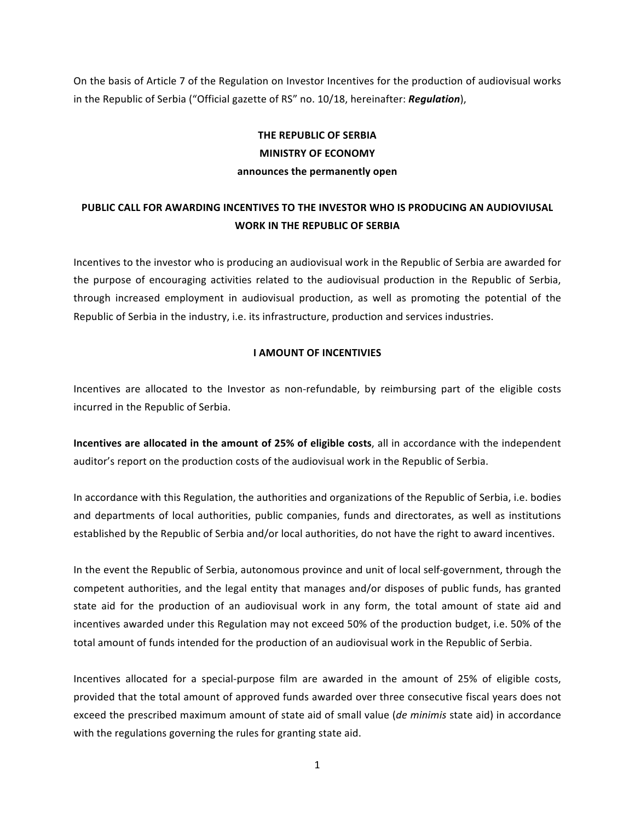On the basis of Article 7 of the Regulation on Investor Incentives for the production of audiovisual works in the Republic of Serbia ("Official gazette of RS" no. 10/18, hereinafter: *Regulation*),

# **THE REPUBLIC OF SERBIA MINISTRY OF ECONOMY announces the permanently open**

# **PUBLIC CALL FOR AWARDING INCENTIVES TO THE INVESTOR WHO IS PRODUCING AN AUDIOVIUSAL WORK IN THE REPUBLIC OF SERBIA**

Incentives to the investor who is producing an audiovisual work in the Republic of Serbia are awarded for the purpose of encouraging activities related to the audiovisual production in the Republic of Serbia, through increased employment in audiovisual production, as well as promoting the potential of the Republic of Serbia in the industry, i.e. its infrastructure, production and services industries.

### **I AMOUNT OF INCENTIVIES**

Incentives are allocated to the Investor as non-refundable, by reimbursing part of the eligible costs incurred in the Republic of Serbia.

**Incentives are allocated in the amount of 25% of eligible costs**, all in accordance with the independent auditor's report on the production costs of the audiovisual work in the Republic of Serbia.

In accordance with this Regulation, the authorities and organizations of the Republic of Serbia, i.e. bodies and departments of local authorities, public companies, funds and directorates, as well as institutions established by the Republic of Serbia and/or local authorities, do not have the right to award incentives.

In the event the Republic of Serbia, autonomous province and unit of local self-government, through the competent authorities, and the legal entity that manages and/or disposes of public funds, has granted state aid for the production of an audiovisual work in any form, the total amount of state aid and incentives awarded under this Regulation may not exceed 50% of the production budget, i.e. 50% of the total amount of funds intended for the production of an audiovisual work in the Republic of Serbia.

Incentives allocated for a special-purpose film are awarded in the amount of 25% of eligible costs, provided that the total amount of approved funds awarded over three consecutive fiscal years does not exceed the prescribed maximum amount of state aid of small value (*de minimis* state aid) in accordance with the regulations governing the rules for granting state aid.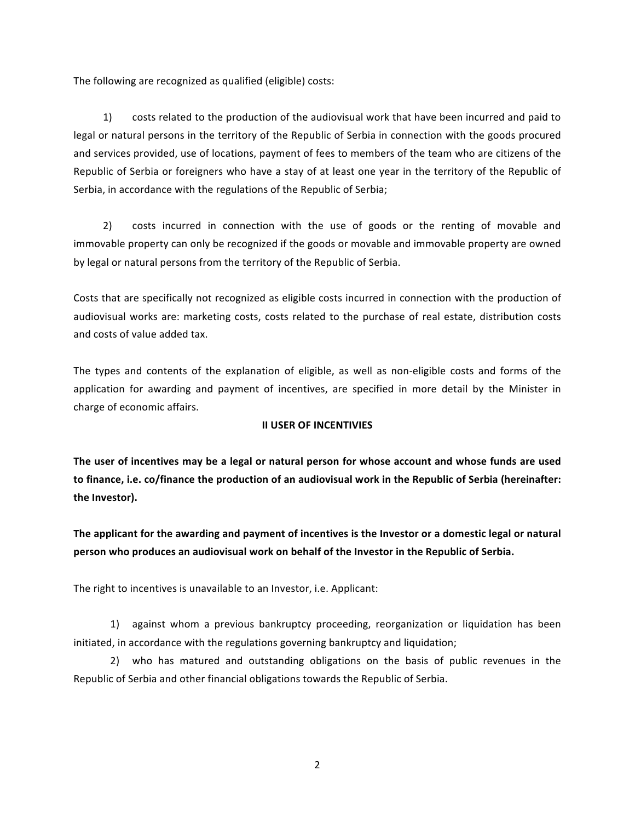The following are recognized as qualified (eligible) costs:

1) costs related to the production of the audiovisual work that have been incurred and paid to legal or natural persons in the territory of the Republic of Serbia in connection with the goods procured and services provided, use of locations, payment of fees to members of the team who are citizens of the Republic of Serbia or foreigners who have a stay of at least one year in the territory of the Republic of Serbia, in accordance with the regulations of the Republic of Serbia;

2) costs incurred in connection with the use of goods or the renting of movable and immovable property can only be recognized if the goods or movable and immovable property are owned by legal or natural persons from the territory of the Republic of Serbia.

Costs that are specifically not recognized as eligible costs incurred in connection with the production of audiovisual works are: marketing costs, costs related to the purchase of real estate, distribution costs and costs of value added tax.

The types and contents of the explanation of eligible, as well as non-eligible costs and forms of the application for awarding and payment of incentives, are specified in more detail by the Minister in charge of economic affairs.

# **II USER OF INCENTIVIES**

The user of incentives may be a legal or natural person for whose account and whose funds are used to finance, i.e. co/finance the production of an audiovisual work in the Republic of Serbia (hereinafter: the Investor).

**The applicant for the awarding and payment of incentives is the Investor or a domestic legal or natural person who produces an audiovisual work on behalf of the Investor in the Republic of Serbia.** 

The right to incentives is unavailable to an Investor, i.e. Applicant:

1) against whom a previous bankruptcy proceeding, reorganization or liquidation has been initiated, in accordance with the regulations governing bankruptcy and liquidation;

2) who has matured and outstanding obligations on the basis of public revenues in the Republic of Serbia and other financial obligations towards the Republic of Serbia.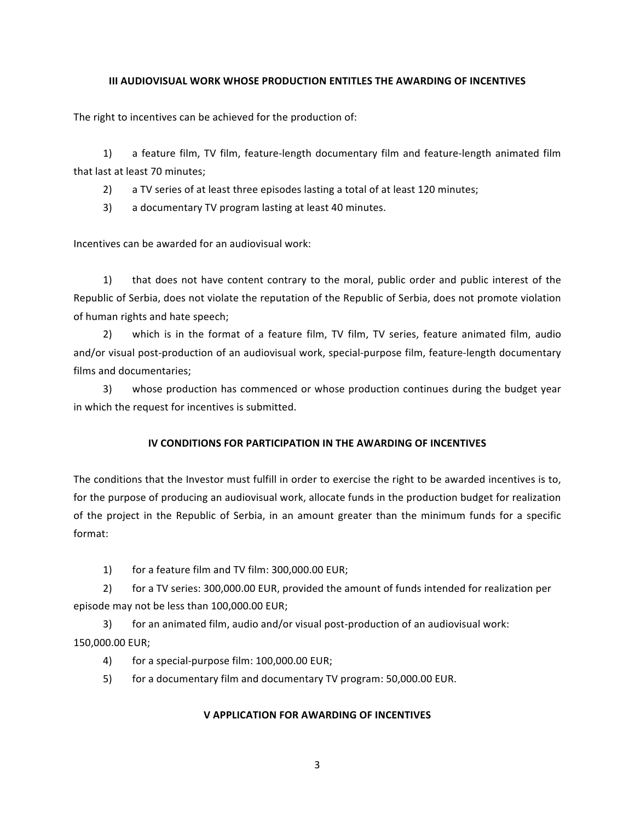#### **III AUDIOVISUAL WORK WHOSE PRODUCTION ENTITLES THE AWARDING OF INCENTIVES**

The right to incentives can be achieved for the production of:

1) a feature film, TV film, feature-length documentary film and feature-length animated film that last at least 70 minutes;

2) a TV series of at least three episodes lasting a total of at least 120 minutes;

3) a documentary TV program lasting at least 40 minutes.

Incentives can be awarded for an audiovisual work:

1) that does not have content contrary to the moral, public order and public interest of the Republic of Serbia, does not violate the reputation of the Republic of Serbia, does not promote violation of human rights and hate speech;

2) which is in the format of a feature film, TV film, TV series, feature animated film, audio and/or visual post-production of an audiovisual work, special-purpose film, feature-length documentary films and documentaries;

3) whose production has commenced or whose production continues during the budget year in which the request for incentives is submitted.

# **IV CONDITIONS FOR PARTICIPATION IN THE AWARDING OF INCENTIVES**

The conditions that the Investor must fulfill in order to exercise the right to be awarded incentives is to, for the purpose of producing an audiovisual work, allocate funds in the production budget for realization of the project in the Republic of Serbia, in an amount greater than the minimum funds for a specific format:

1) for a feature film and TV film: 300,000.00 EUR;

2) for a TV series: 300,000.00 EUR, provided the amount of funds intended for realization per episode may not be less than 100,000.00 EUR;

3) for an animated film, audio and/or visual post-production of an audiovisual work: 150,000.00 EUR;

- 4) for a special-purpose film: 100,000.00 EUR;
- 5) for a documentary film and documentary TV program: 50,000.00 EUR.

# **V APPLICATION FOR AWARDING OF INCENTIVES**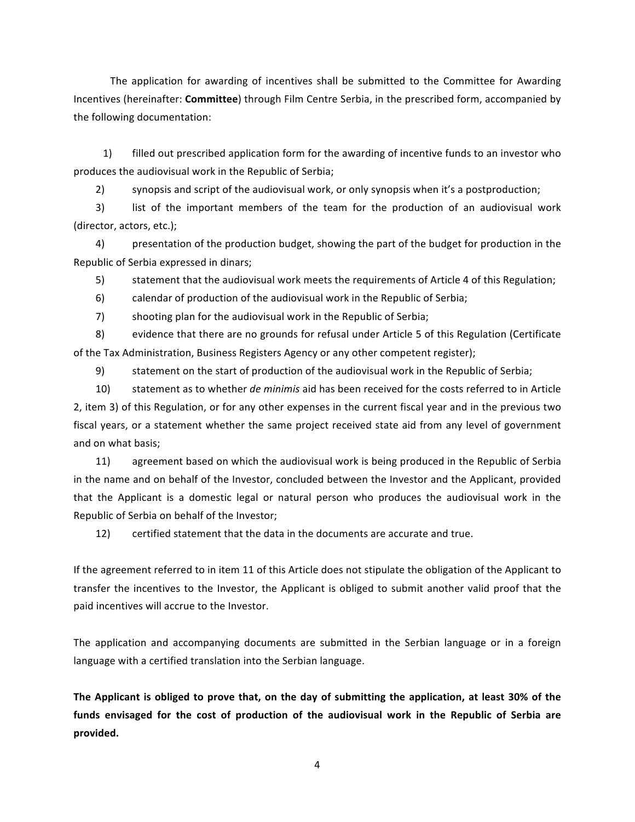The application for awarding of incentives shall be submitted to the Committee for Awarding Incentives (hereinafter: **Committee**) through Film Centre Serbia, in the prescribed form, accompanied by the following documentation:

1) filled out prescribed application form for the awarding of incentive funds to an investor who produces the audiovisual work in the Republic of Serbia;

2) synopsis and script of the audiovisual work, or only synopsis when it's a postproduction;

3) list of the important members of the team for the production of an audiovisual work (director, actors, etc.);

4) presentation of the production budget, showing the part of the budget for production in the Republic of Serbia expressed in dinars;

5) statement that the audiovisual work meets the requirements of Article 4 of this Regulation;

6) calendar of production of the audiovisual work in the Republic of Serbia;

7) shooting plan for the audiovisual work in the Republic of Serbia;

8) evidence that there are no grounds for refusal under Article 5 of this Regulation (Certificate of the Tax Administration, Business Registers Agency or any other competent register);

9) statement on the start of production of the audiovisual work in the Republic of Serbia;

10) statement as to whether *de minimis* aid has been received for the costs referred to in Article 2, item 3) of this Regulation, or for any other expenses in the current fiscal year and in the previous two fiscal years, or a statement whether the same project received state aid from any level of government and on what basis;

11) agreement based on which the audiovisual work is being produced in the Republic of Serbia in the name and on behalf of the Investor, concluded between the Investor and the Applicant, provided that the Applicant is a domestic legal or natural person who produces the audiovisual work in the Republic of Serbia on behalf of the Investor:

12) certified statement that the data in the documents are accurate and true.

If the agreement referred to in item 11 of this Article does not stipulate the obligation of the Applicant to transfer the incentives to the Investor, the Applicant is obliged to submit another valid proof that the paid incentives will accrue to the Investor.

The application and accompanying documents are submitted in the Serbian language or in a foreign language with a certified translation into the Serbian language.

The Applicant is obliged to prove that, on the day of submitting the application, at least 30% of the funds envisaged for the cost of production of the audiovisual work in the Republic of Serbia are **provided.**

4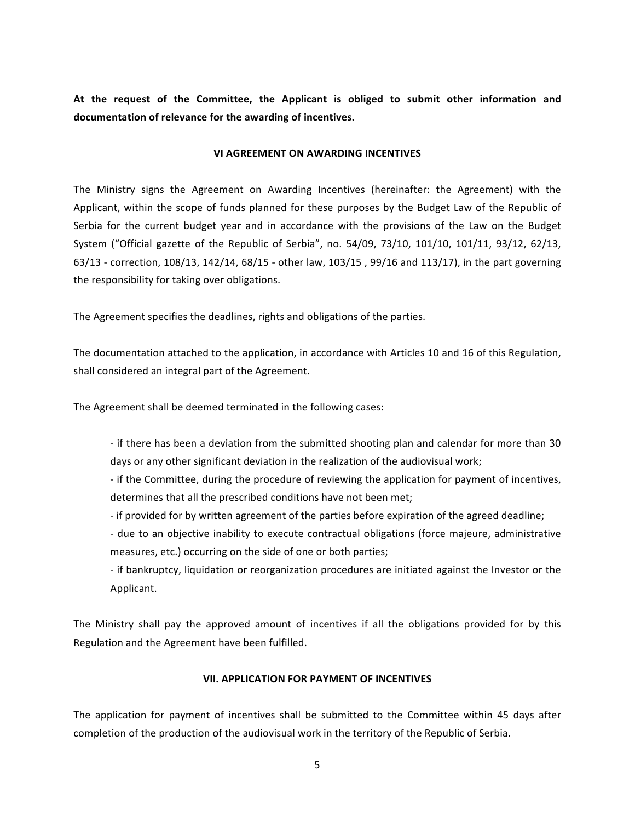At the request of the Committee, the Applicant is obliged to submit other information and documentation of relevance for the awarding of incentives.

#### **VI AGREEMENT ON AWARDING INCENTIVES**

The Ministry signs the Agreement on Awarding Incentives (hereinafter: the Agreement) with the Applicant, within the scope of funds planned for these purposes by the Budget Law of the Republic of Serbia for the current budget year and in accordance with the provisions of the Law on the Budget System ("Official gazette of the Republic of Serbia", no. 54/09, 73/10, 101/10, 101/11, 93/12, 62/13, 63/13 - correction, 108/13, 142/14, 68/15 - other law, 103/15, 99/16 and 113/17), in the part governing the responsibility for taking over obligations.

The Agreement specifies the deadlines, rights and obligations of the parties.

The documentation attached to the application, in accordance with Articles 10 and 16 of this Regulation, shall considered an integral part of the Agreement.

The Agreement shall be deemed terminated in the following cases:

- if there has been a deviation from the submitted shooting plan and calendar for more than 30 days or any other significant deviation in the realization of the audiovisual work;

- if the Committee, during the procedure of reviewing the application for payment of incentives, determines that all the prescribed conditions have not been met;

- if provided for by written agreement of the parties before expiration of the agreed deadline;

- due to an objective inability to execute contractual obligations (force majeure, administrative measures, etc.) occurring on the side of one or both parties;

- if bankruptcy, liquidation or reorganization procedures are initiated against the Investor or the Applicant.

The Ministry shall pay the approved amount of incentives if all the obligations provided for by this Regulation and the Agreement have been fulfilled.

#### **VII. APPLICATION FOR PAYMENT OF INCENTIVES**

The application for payment of incentives shall be submitted to the Committee within 45 days after completion of the production of the audiovisual work in the territory of the Republic of Serbia.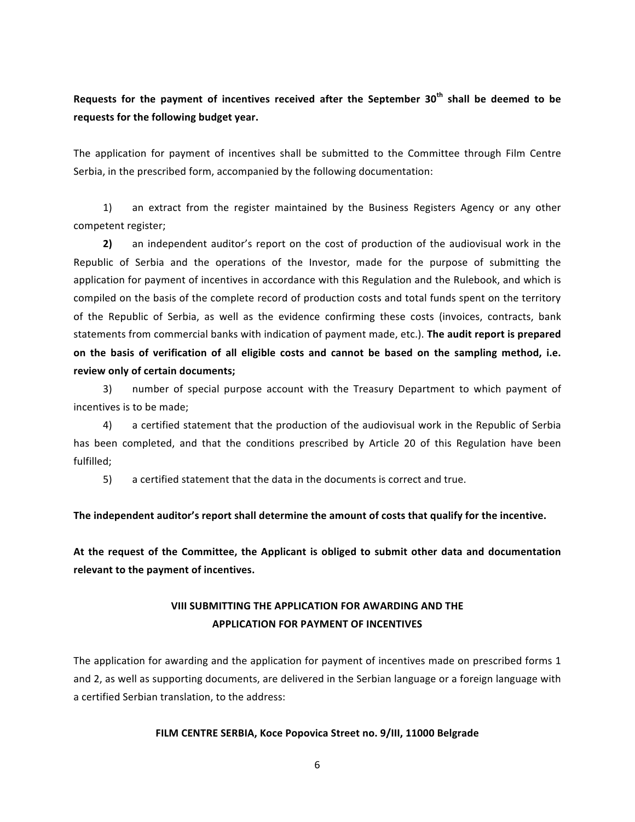Requests for the payment of incentives received after the September 30<sup>th</sup> shall be deemed to be requests for the following budget year.

The application for payment of incentives shall be submitted to the Committee through Film Centre Serbia, in the prescribed form, accompanied by the following documentation:

1) an extract from the register maintained by the Business Registers Agency or any other competent register;

**2)** an independent auditor's report on the cost of production of the audiovisual work in the Republic of Serbia and the operations of the Investor, made for the purpose of submitting the application for payment of incentives in accordance with this Regulation and the Rulebook, and which is compiled on the basis of the complete record of production costs and total funds spent on the territory of the Republic of Serbia, as well as the evidence confirming these costs (invoices, contracts, bank statements from commercial banks with indication of payment made, etc.). The audit report is prepared on the basis of verification of all eligible costs and cannot be based on the sampling method, i.e. **review only of certain documents;**

3) number of special purpose account with the Treasury Department to which payment of incentives is to be made:

4) a certified statement that the production of the audiovisual work in the Republic of Serbia has been completed, and that the conditions prescribed by Article 20 of this Regulation have been fulfilled;

5) a certified statement that the data in the documents is correct and true.

#### The independent auditor's report shall determine the amount of costs that qualify for the incentive.

At the request of the Committee, the Applicant is obliged to submit other data and documentation relevant to the payment of incentives.

# **VIII SUBMITTING THE APPLICATION FOR AWARDING AND THE APPLICATION FOR PAYMENT OF INCENTIVES**

The application for awarding and the application for payment of incentives made on prescribed forms 1 and 2, as well as supporting documents, are delivered in the Serbian language or a foreign language with a certified Serbian translation, to the address:

#### FILM CENTRE SERBIA, Koce Popovica Street no. 9/III, 11000 Belgrade